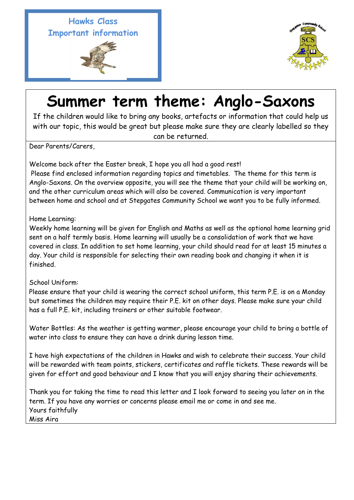**Hawks Class Important information** 





## **Summer term theme: Anglo-Saxons**

If the children would like to bring any books, artefacts or information that could help us with our topic, this would be great but please make sure they are clearly labelled so they can be returned.

Dear Parents/Carers,

j

Welcome back after the Easter break, I hope you all had a good rest!

Please find enclosed information regarding topics and timetables. The theme for this term is Anglo-Saxons. On the overview opposite, you will see the theme that your child will be working on, and the other curriculum areas which will also be covered. Communication is very important between home and school and at Stepgates Community School we want you to be fully informed.

## Home Learning:

Weekly home learning will be given for English and Maths as well as the optional home learning grid sent on a half termly basis. Home learning will usually be a consolidation of work that we have covered in class. In addition to set home learning, your child should read for at least 15 minutes a day. Your child is responsible for selecting their own reading book and changing it when it is finished.

## School Uniform:

Please ensure that your child is wearing the correct school uniform, this term P.E. is on a Monday but sometimes the children may require their P.E. kit on other days. Please make sure your child has a full P.E. kit, including trainers or other suitable footwear.

Water Bottles: As the weather is getting warmer, please encourage your child to bring a bottle of water into class to ensure they can have a drink during lesson time.

I have high expectations of the children in Hawks and wish to celebrate their success. Your child will be rewarded with team points, stickers, certificates and raffle tickets. These rewards will be given for effort and good behaviour and I know that you will enjoy sharing their achievements.

Thank you for taking the time to read this letter and I look forward to seeing you later on in the term. If you have any worries or concerns please email me or come in and see me. Yours faithfully Miss Aira